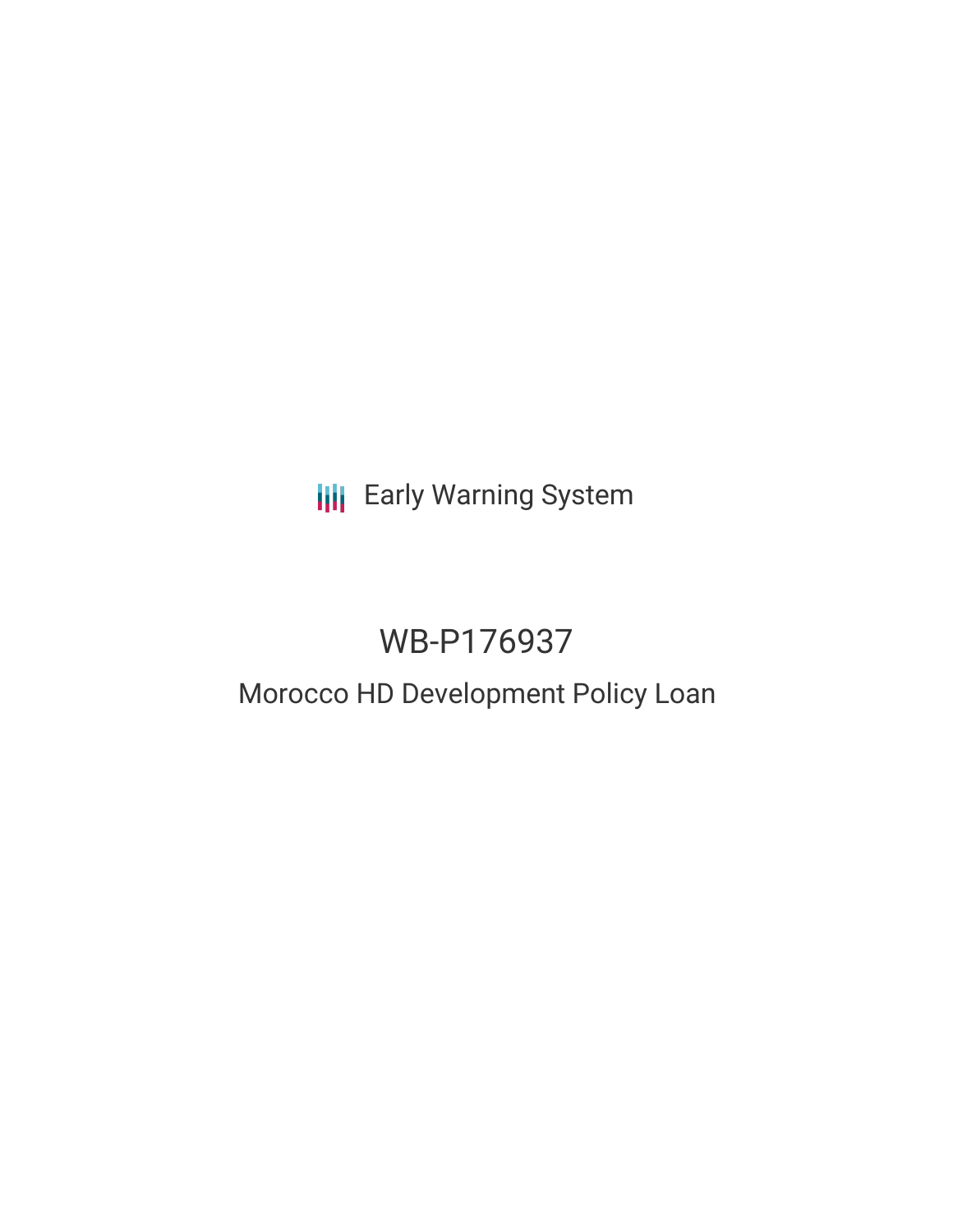**III** Early Warning System

# WB-P176937

## Morocco HD Development Policy Loan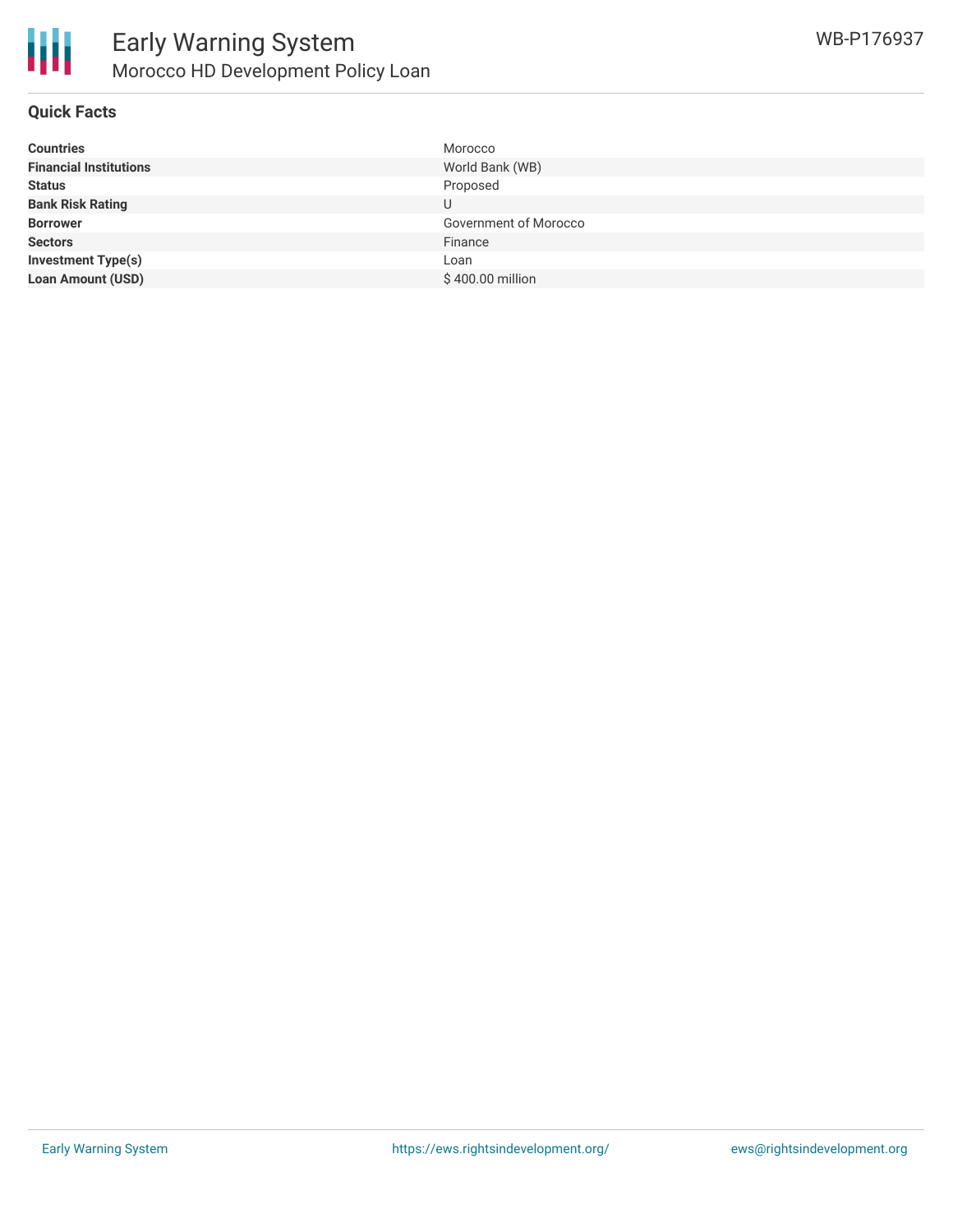

#### **Quick Facts**

| <b>Countries</b>              | Morocco               |
|-------------------------------|-----------------------|
| <b>Financial Institutions</b> | World Bank (WB)       |
| <b>Status</b>                 | Proposed              |
| <b>Bank Risk Rating</b>       |                       |
| <b>Borrower</b>               | Government of Morocco |
| <b>Sectors</b>                | Finance               |
| <b>Investment Type(s)</b>     | Loan                  |
| <b>Loan Amount (USD)</b>      | \$400.00 million      |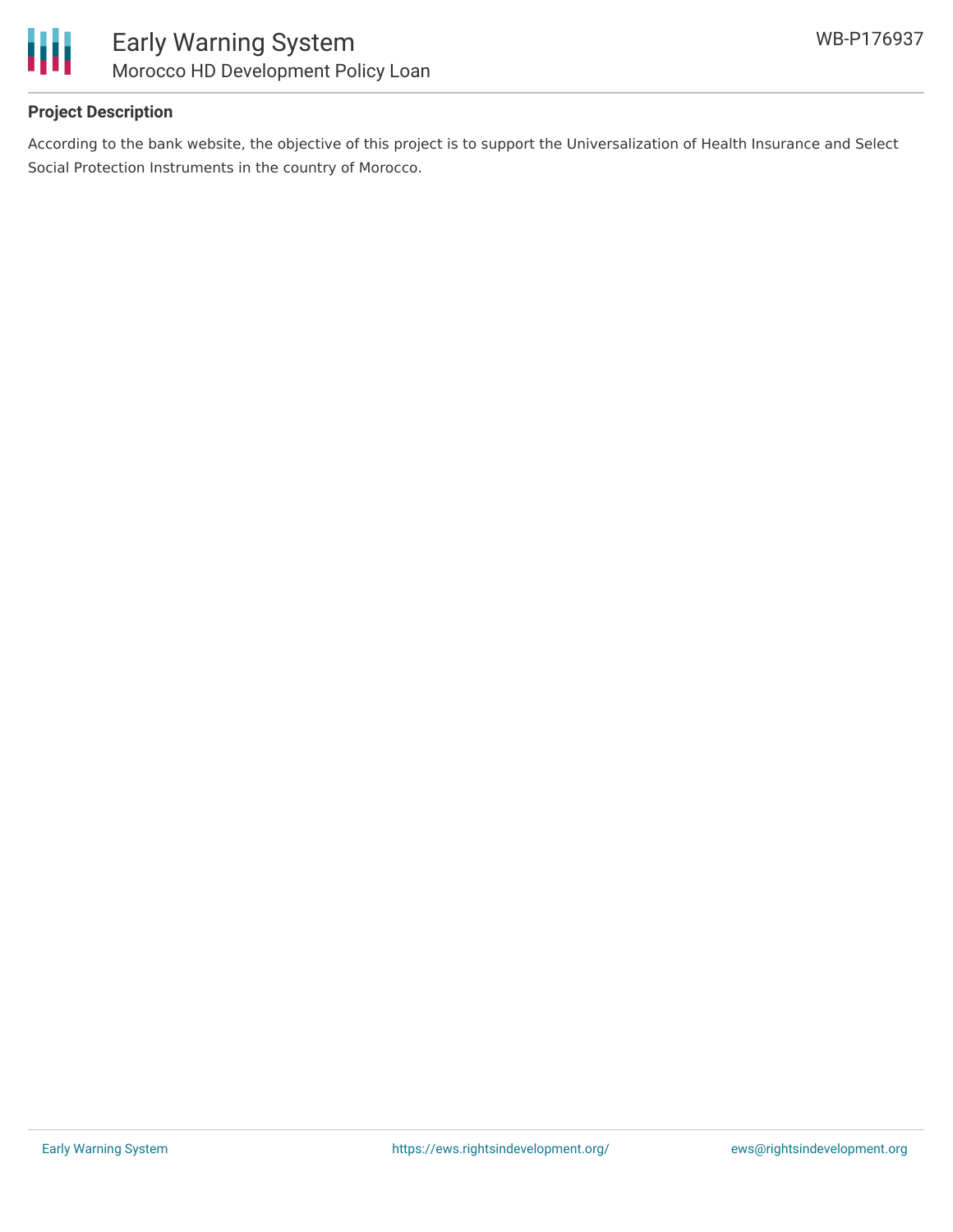

## **Project Description**

According to the bank website, the objective of this project is to support the Universalization of Health Insurance and Select Social Protection Instruments in the country of Morocco.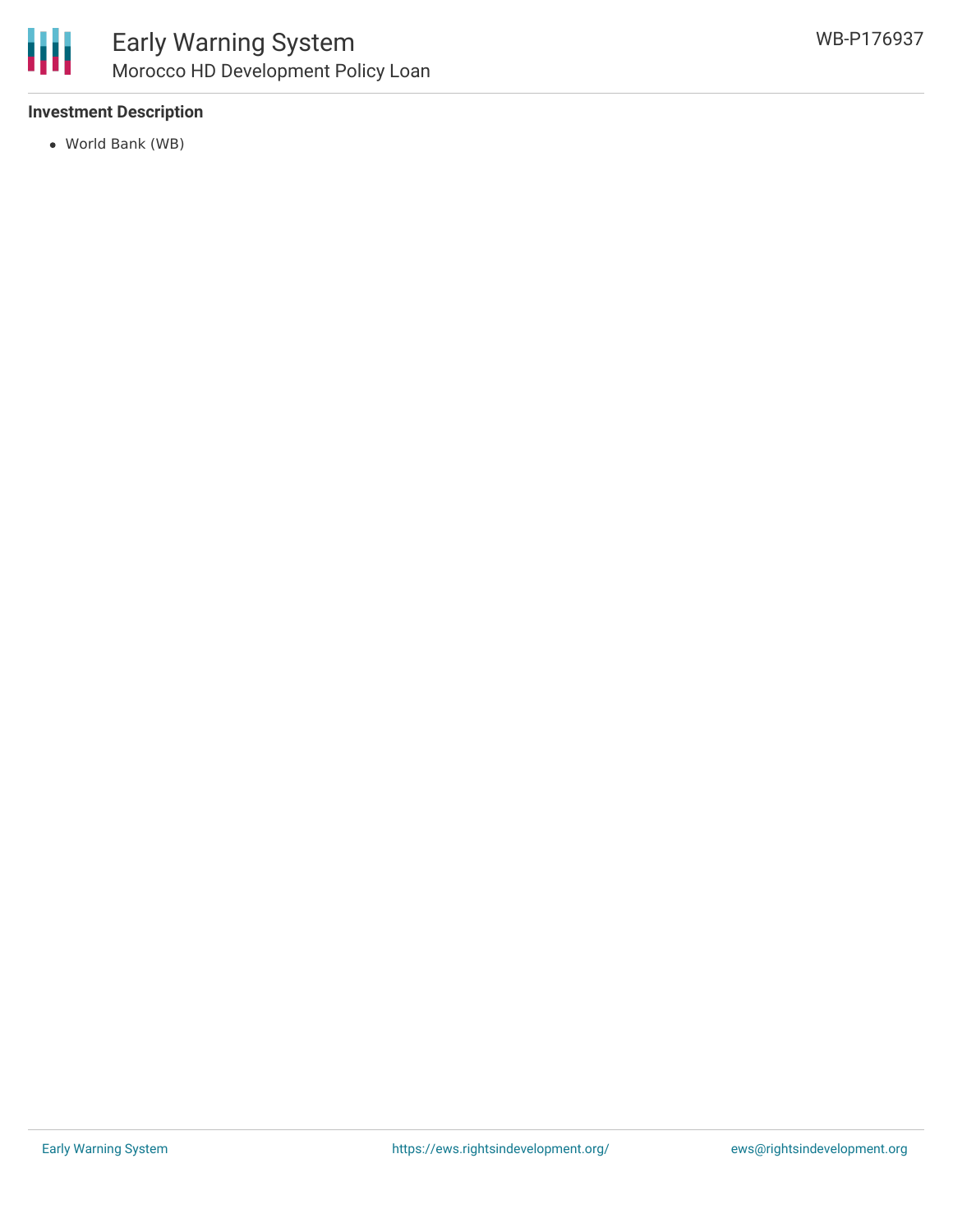

### **Investment Description**

World Bank (WB)